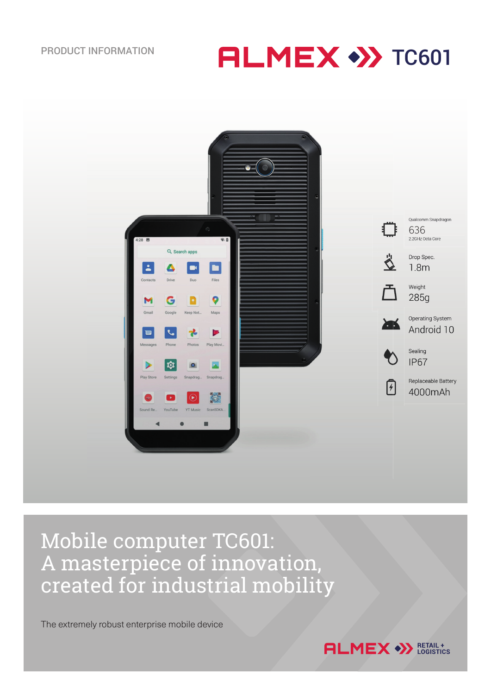PRODUCT INFORMATION **ALMEX** >>>TC601



# Mobile computer TC601: A masterpiece of innovation, created for industrial mobility

The extremely robust enterprise mobile device